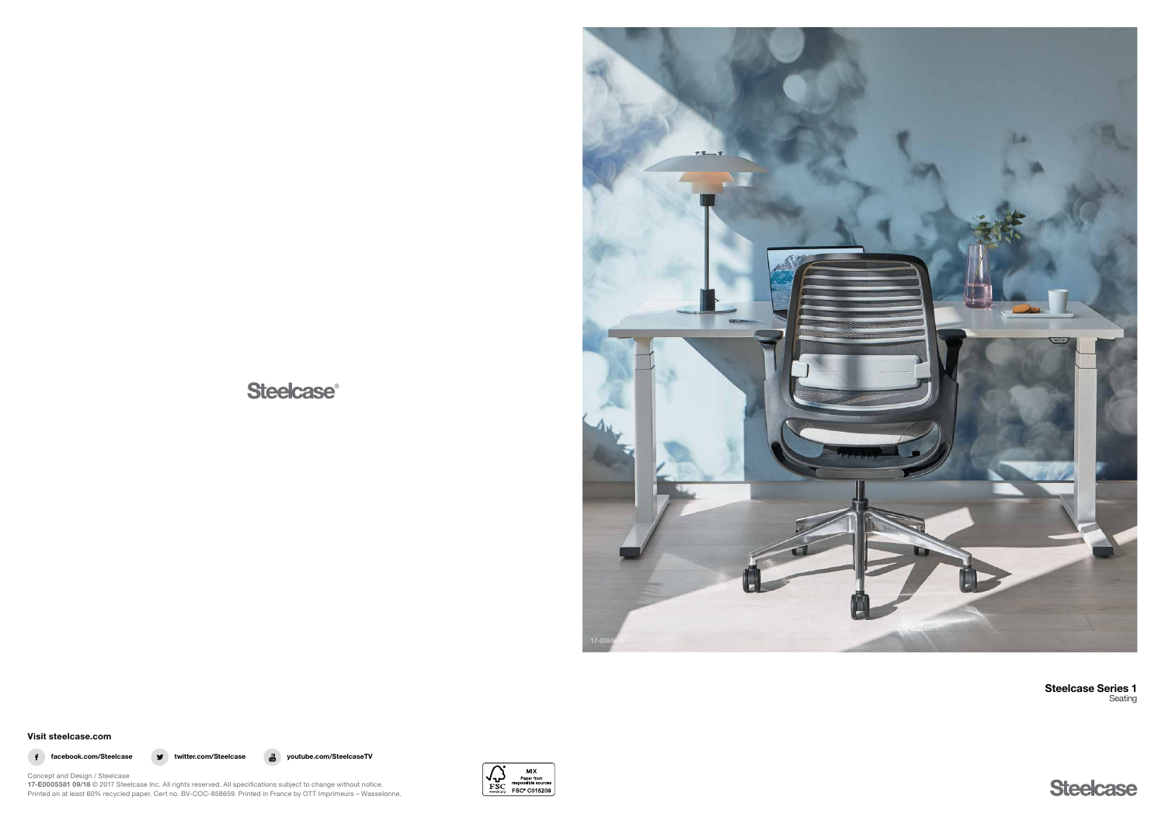# **Steelcase®**



Visit steelcase.com



f facebook.com/Steelcase volumeter.com/Steelcase  $\bullet$  twitter.com/Steelcase  $\bullet$  youtube.com/SteelcaseTV



Concept and Design / Steelcase 17-E0005581 09/18 © 2017 Steelcase Inc. All rights reserved. All specifications subject to change without notice. Printed on at least 60% recycled paper. Cert no. BV-COC-858659. Printed in France by OTT Imprimeurs – Wasselonne. Steelcase Series 1 Seating

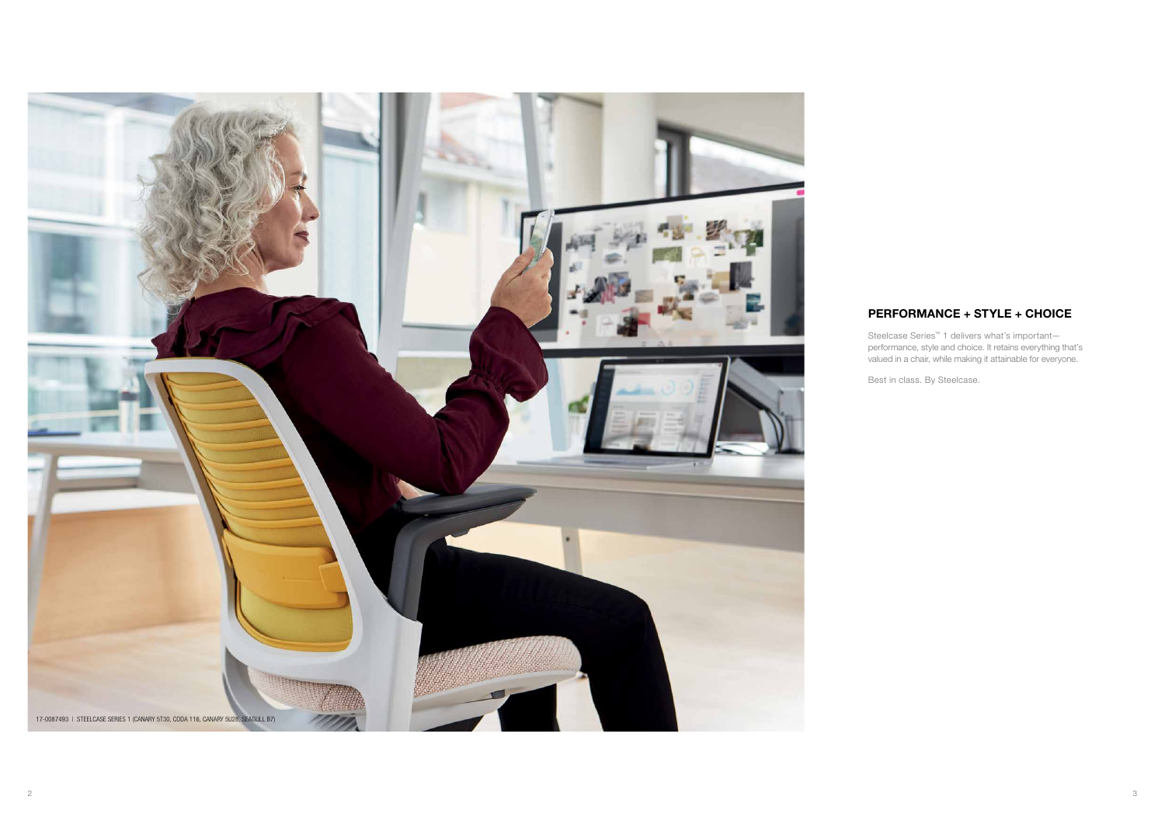# PERFORMANCE + STYLE + CHOICE

Steelcase Series™ 1 delivers what's important performance, style and choice. It retains everything that's valued in a chair, while making it attainable for everyone.

 $\frac{3}{2}$ 

Best in class. By Steelcase.

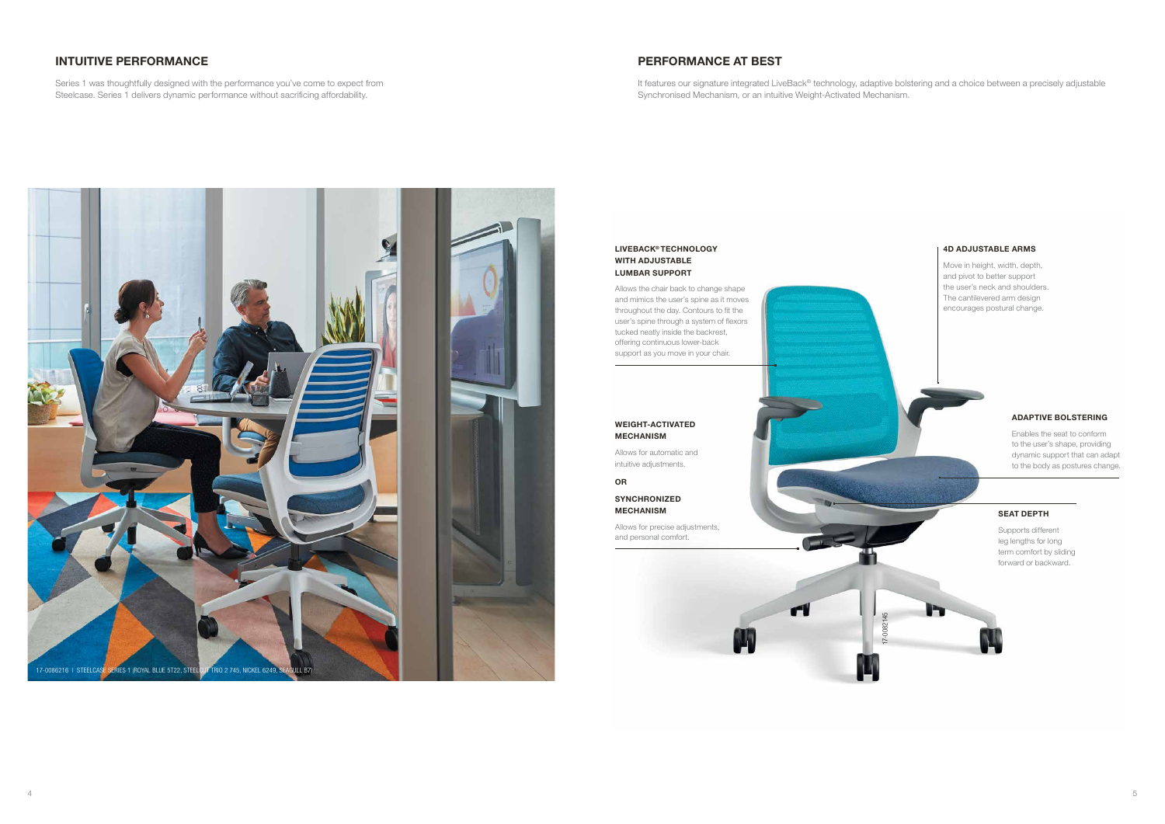### LIVEBACK® TECHNOLOGY WITH ADJUSTABLE LUMBAR SUPPORT

Allows the chair back to change shape and mimics the user's spine as it moves throughout the day. Contours to fit the user's spine through a system of flexors tucked neatly inside the backrest, offering continuous lower-back support as you move in your chair.

# PERFORMANCE AT BEST

It features our signature integrated LiveBack® technology, adaptive bolstering and a choice between a precisely adjustable Synchronised Mechanism, or an intuitive Weight-Activated Mechanism.

## INTUITIVE PERFORMANCE

Series 1 was thoughtfully designed with the performance you've come to expect from Steelcase. Series 1 delivers dynamic performance without sacrificing affordability.

### WEIGHT-ACTIVATED MECHANISM

Allows for automatic and intuitive adjustments.

### OR

SYNCHRONIZED MECHANISM

Allows for precise adjustments, and personal comfort.

### 4D ADJUSTABLE ARMS

Move in height, width, depth, and pivot to better support the user's neck and shoulders. The cantilevered arm design encourages postural change.

### ADAPTIVE BOLSTERING

Enables the seat to conform to the user's shape, providing dynamic support that can adapt to the body as postures change.

### SEAT DEPTH

Supports different leg lengths for long term comfort by sliding forward or backward.

17-0082145

r

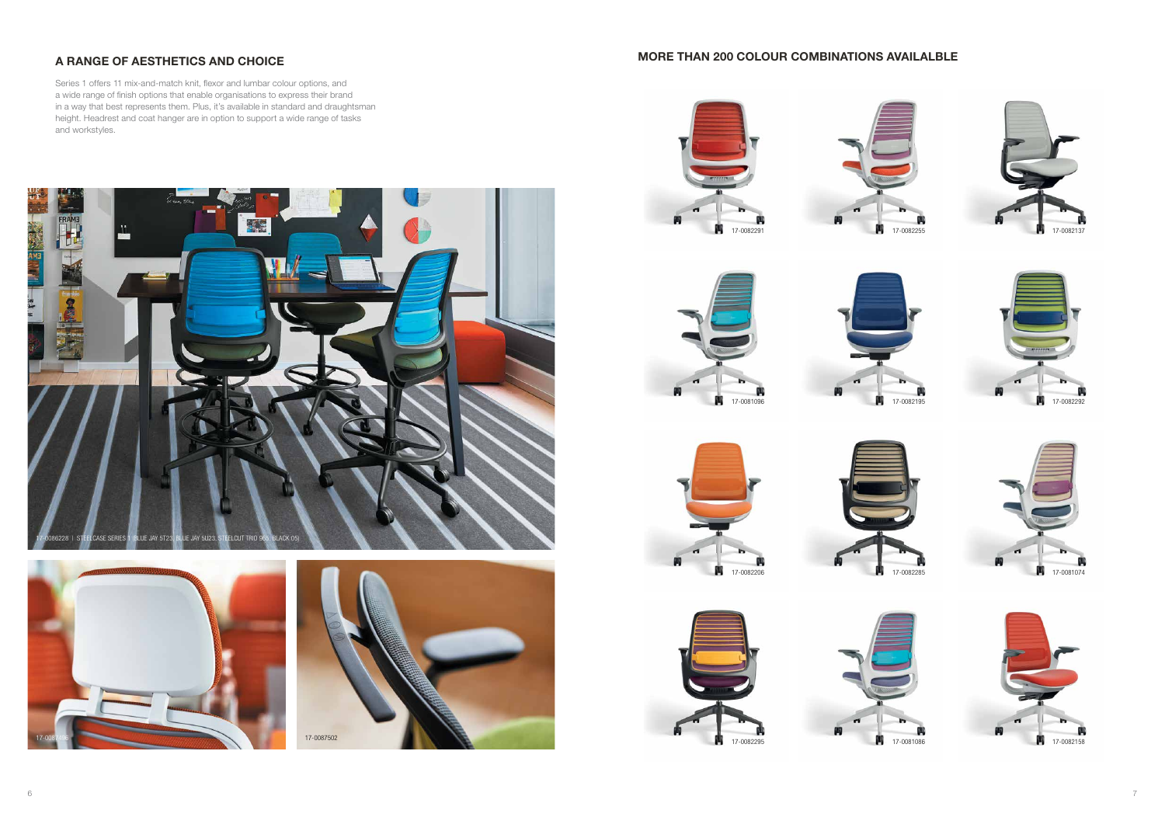

























# A RANGE OF AESTHETICS AND CHOICE **A RANGE OF A RANGE OF A RANGE OF A RANGE OF A RANGE OF A RANGE OF A RANGE OF A**

Series 1 offers 11 mix-and-match knit, flexor and lumbar colour options, and a wide range of finish options that enable organisations to express their brand in a way that best represents them. Plus, it's available in standard and draughtsman height. Headrest and coat hanger are in option to support a wide range of tasks and workstyles.



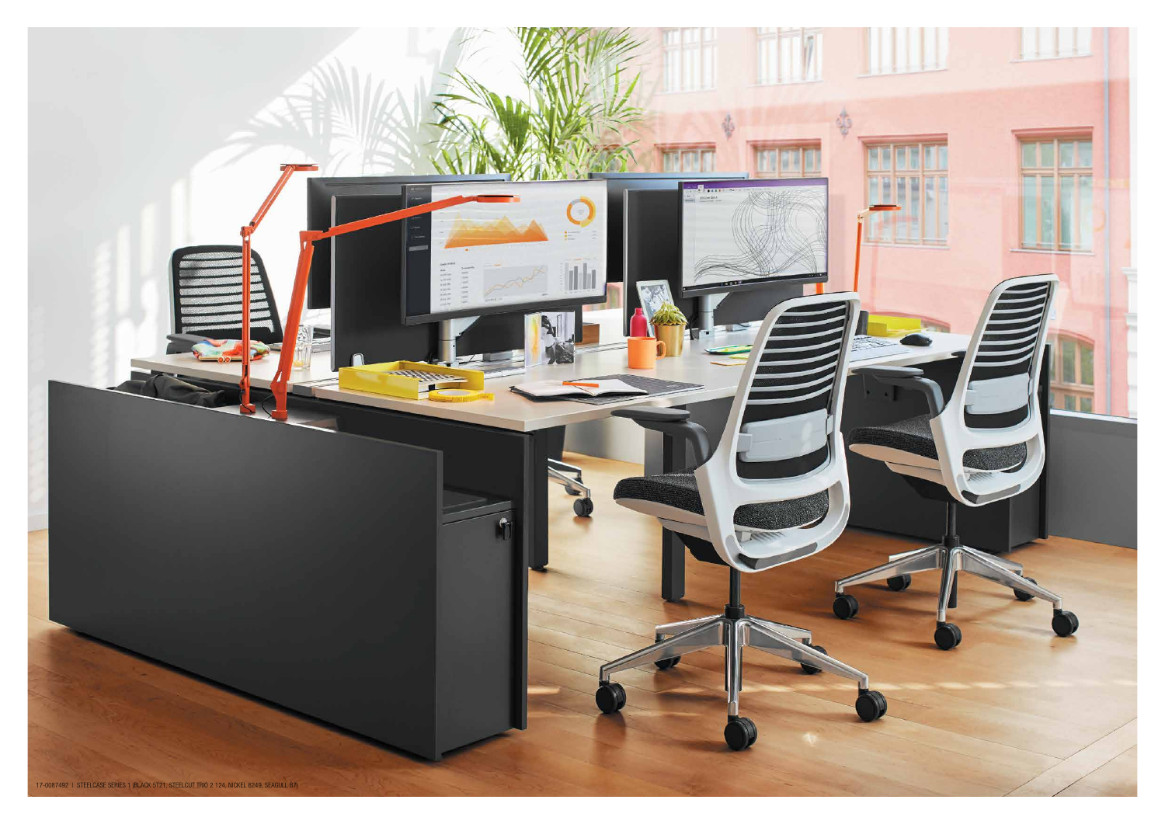